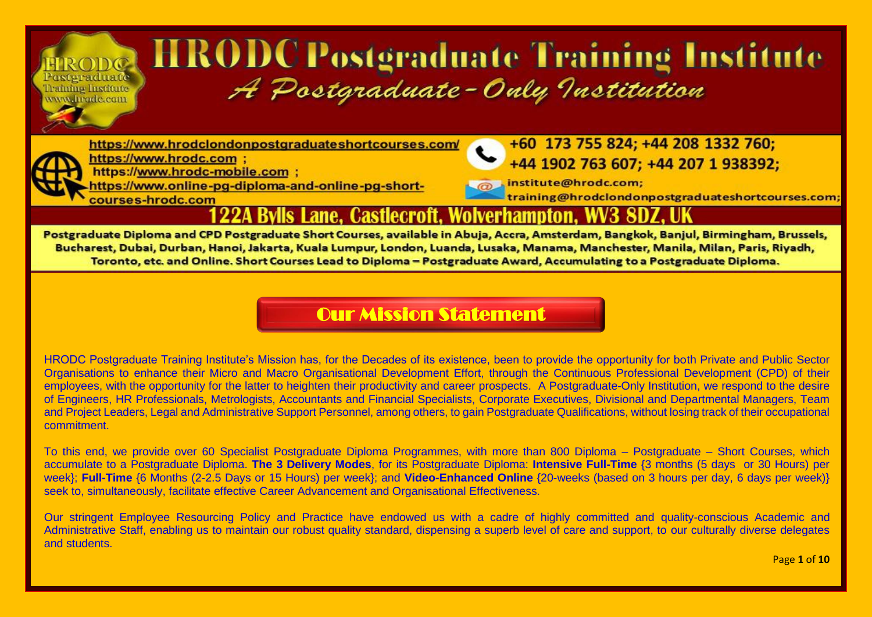# **HRODC Postgraduate Training Institute** A Postgraduate-Only Institution

https://www.hrodclondonpostgraduateshortcourses.com/



Posteraduate

Training Institute www.hrade.com

> https://www.hrodc.com ; https://www.hrodc-mobile.com ;

https://www.online-pg-diploma-and-online-pg-shortcourses-hrodc.com

+60 173 755 824; +44 208 1332 760; +44 1902 763 607; +44 207 1 938392;

institute@hrodc.com; training@hrodclondonpostgraduateshortcourses.com

#### Bvlls Lane. Castlecroft. Wolverhampton.

Postgraduate Diploma and CPD Postgraduate Short Courses, available in Abuja, Accra, Amsterdam, Bangkok, Banjul, Birmingham, Brussels, Bucharest, Dubai, Durban, Hanoi, Jakarta, Kuala Lumpur, London, Luanda, Lusaka, Manama, Manchester, Manila, Milan, Paris, Riyadh, Toronto, etc. and Online. Short Courses Lead to Diploma - Postgraduate Award, Accumulating to a Postgraduate Diploma.

#### [Our Mission Statement](https://www.hrodc.com/Students_Delegates_Comments_Postgraduate_Diploma_Programmes_Short_Courses_HRODC_Postgraduate_Training_Institute_A_Postgraduate_Only_Institution_London.htm)

HRODC Postgraduate Training Institute's Mission has, for the Decades of its existence, been to provide the opportunity for both Private and Public Sector Organisations to enhance their Micro and Macro Organisational Development Effort, through the Continuous Professional Development (CPD) of their employees, with the opportunity for the latter to heighten their productivity and career prospects. A Postgraduate-Only Institution, we respond to the desire of Engineers, HR Professionals, Metrologists, Accountants and Financial Specialists, Corporate Executives, Divisional and Departmental Managers, Team and Project Leaders, Legal and Administrative Support Personnel, among others, to gain Postgraduate Qualifications, without losing track of their occupational commitment.

To this end, we provide over 60 Specialist Postgraduate Diploma Programmes, with more than 800 Diploma – Postgraduate – Short Courses, which accumulate to a Postgraduate Diploma. **The 3 Delivery Modes**, for its Postgraduate Diploma: **Intensive Full-Time** {3 months (5 days or 30 Hours) per week}; **Full-Time** {6 Months (2-2.5 Days or 15 Hours) per week}; and **Video-Enhanced Online** {20-weeks (based on 3 hours per day, 6 days per week)} seek to, simultaneously, facilitate effective Career Advancement and Organisational Effectiveness.

Our stringent Employee Resourcing Policy and Practice have endowed us with a cadre of highly committed and quality-conscious Academic and Administrative Staff, enabling us to maintain our robust quality standard, dispensing a superb level of care and support, to our culturally diverse delegates and students.

Page **1** of **10**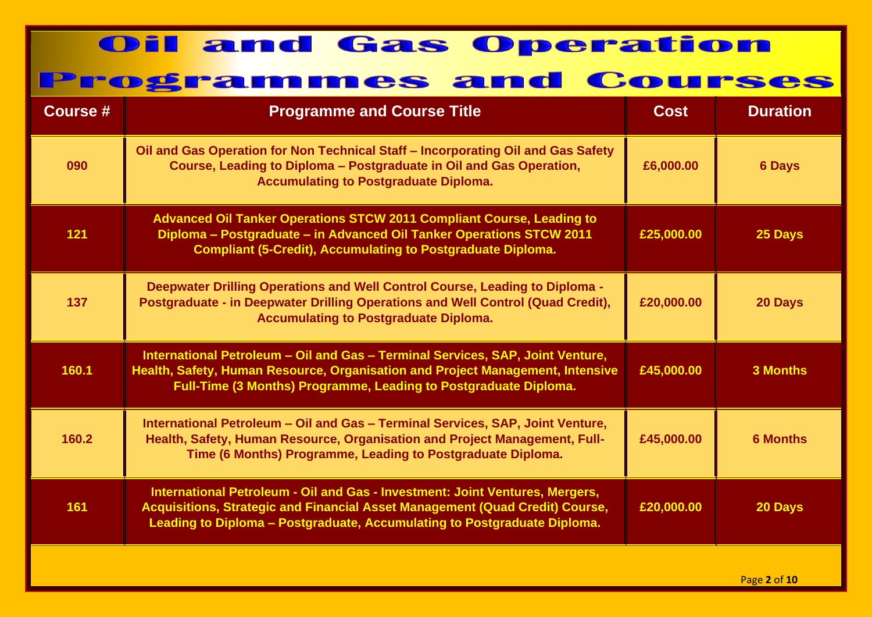| Course # | <b>Programme and Course Title</b>                                                                                                                                                                                                        | <b>Cost</b> | <b>Duration</b> |
|----------|------------------------------------------------------------------------------------------------------------------------------------------------------------------------------------------------------------------------------------------|-------------|-----------------|
| 090      | Oil and Gas Operation for Non Technical Staff - Incorporating Oil and Gas Safety<br>Course, Leading to Diploma - Postgraduate in Oil and Gas Operation,<br><b>Accumulating to Postgraduate Diploma.</b>                                  | £6,000.00   | <b>6 Days</b>   |
| 121      | <b>Advanced Oil Tanker Operations STCW 2011 Compliant Course, Leading to</b><br>Diploma - Postgraduate - in Advanced Oil Tanker Operations STCW 2011<br><b>Compliant (5-Credit), Accumulating to Postgraduate Diploma.</b>               | £25,000.00  | 25 Days         |
| 137      | Deepwater Drilling Operations and Well Control Course, Leading to Diploma -<br>Postgraduate - in Deepwater Drilling Operations and Well Control (Quad Credit),<br><b>Accumulating to Postgraduate Diploma.</b>                           | £20,000.00  | 20 Days         |
| 160.1    | International Petroleum - Oil and Gas - Terminal Services, SAP, Joint Venture,<br>Health, Safety, Human Resource, Organisation and Project Management, Intensive<br>Full-Time (3 Months) Programme, Leading to Postgraduate Diploma.     | £45,000.00  | <b>3 Months</b> |
| 160.2    | International Petroleum - Oil and Gas - Terminal Services, SAP, Joint Venture,<br>Health, Safety, Human Resource, Organisation and Project Management, Full-<br>Time (6 Months) Programme, Leading to Postgraduate Diploma.              | £45,000.00  | <b>6 Months</b> |
| 161      | International Petroleum - Oil and Gas - Investment: Joint Ventures, Mergers,<br>Acquisitions, Strategic and Financial Asset Management (Quad Credit) Course,<br>Leading to Diploma - Postgraduate, Accumulating to Postgraduate Diploma. | £20,000.00  | 20 Days         |
|          |                                                                                                                                                                                                                                          |             |                 |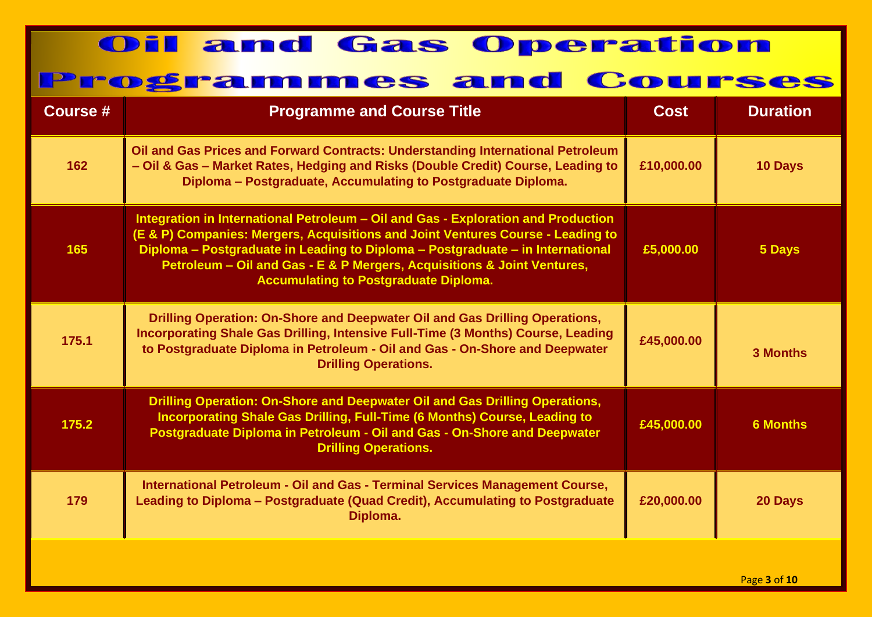| <b>Course #</b> | <b>Programme and Course Title</b>                                                                                                                                                                                                                                                                                                                                                 | <b>Cost</b> | <b>Duration</b> |
|-----------------|-----------------------------------------------------------------------------------------------------------------------------------------------------------------------------------------------------------------------------------------------------------------------------------------------------------------------------------------------------------------------------------|-------------|-----------------|
| 162             | Oil and Gas Prices and Forward Contracts: Understanding International Petroleum<br>- Oil & Gas - Market Rates, Hedging and Risks (Double Credit) Course, Leading to<br>Diploma - Postgraduate, Accumulating to Postgraduate Diploma.                                                                                                                                              | £10,000.00  | 10 Days         |
| 165             | Integration in International Petroleum - Oil and Gas - Exploration and Production<br>(E & P) Companies: Mergers, Acquisitions and Joint Ventures Course - Leading to<br>Diploma - Postgraduate in Leading to Diploma - Postgraduate - in International<br>Petroleum - Oil and Gas - E & P Mergers, Acquisitions & Joint Ventures,<br><b>Accumulating to Postgraduate Diploma.</b> | £5,000.00   | 5 Days          |
| 175.1           | Drilling Operation: On-Shore and Deepwater Oil and Gas Drilling Operations,<br>Incorporating Shale Gas Drilling, Intensive Full-Time (3 Months) Course, Leading<br>to Postgraduate Diploma in Petroleum - Oil and Gas - On-Shore and Deepwater<br><b>Drilling Operations.</b>                                                                                                     | £45,000.00  | <b>3 Months</b> |
| 175.2           | Drilling Operation: On-Shore and Deepwater Oil and Gas Drilling Operations,<br>Incorporating Shale Gas Drilling, Full-Time (6 Months) Course, Leading to<br>Postgraduate Diploma in Petroleum - Oil and Gas - On-Shore and Deepwater<br><b>Drilling Operations.</b>                                                                                                               | £45,000.00  | <b>6 Months</b> |
| 179             | International Petroleum - Oil and Gas - Terminal Services Management Course,<br>Leading to Diploma - Postgraduate (Quad Credit), Accumulating to Postgraduate<br>Diploma.                                                                                                                                                                                                         | £20,000.00  | 20 Days         |
|                 |                                                                                                                                                                                                                                                                                                                                                                                   |             | Page 3 of 10    |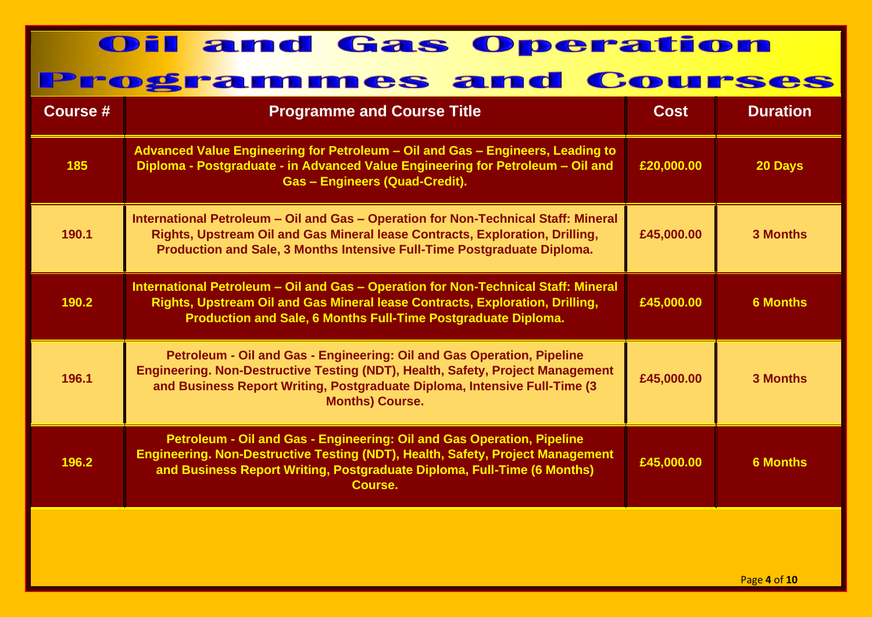| Course # | <b>Programme and Course Title</b>                                                                                                                                                                                                                                | <b>Cost</b> | <b>Duration</b> |
|----------|------------------------------------------------------------------------------------------------------------------------------------------------------------------------------------------------------------------------------------------------------------------|-------------|-----------------|
| 185      | Advanced Value Engineering for Petroleum - Oil and Gas - Engineers, Leading to<br>Diploma - Postgraduate - in Advanced Value Engineering for Petroleum - Oil and<br><b>Gas - Engineers (Quad-Credit).</b>                                                        | £20,000.00  | 20 Days         |
| 190.1    | International Petroleum - Oil and Gas - Operation for Non-Technical Staff: Mineral<br>Rights, Upstream Oil and Gas Mineral lease Contracts, Exploration, Drilling,<br>Production and Sale, 3 Months Intensive Full-Time Postgraduate Diploma.                    | £45,000.00  | <b>3 Months</b> |
| 190.2    | International Petroleum - Oil and Gas - Operation for Non-Technical Staff: Mineral<br>Rights, Upstream Oil and Gas Mineral lease Contracts, Exploration, Drilling,<br>Production and Sale, 6 Months Full-Time Postgraduate Diploma.                              | £45,000.00  | <b>6 Months</b> |
| 196.1    | Petroleum - Oil and Gas - Engineering: Oil and Gas Operation, Pipeline<br>Engineering. Non-Destructive Testing (NDT), Health, Safety, Project Management<br>and Business Report Writing, Postgraduate Diploma, Intensive Full-Time (3)<br><b>Months) Course.</b> | £45,000.00  | <b>3 Months</b> |
| 196.2    | Petroleum - Oil and Gas - Engineering: Oil and Gas Operation, Pipeline<br>Engineering. Non-Destructive Testing (NDT), Health, Safety, Project Management<br>and Business Report Writing, Postgraduate Diploma, Full-Time (6 Months)<br>Course.                   | £45,000.00  | <b>6 Months</b> |
|          |                                                                                                                                                                                                                                                                  |             |                 |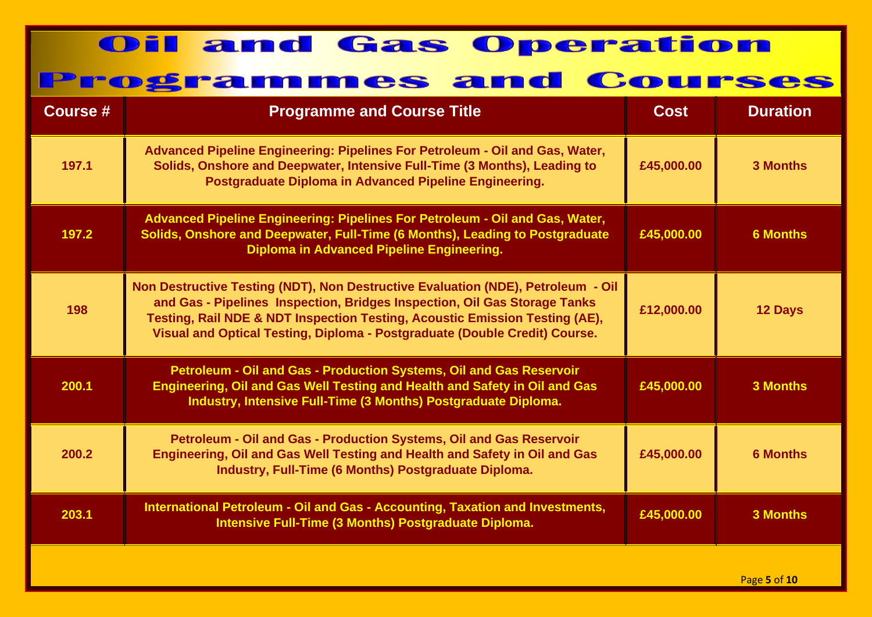| <b>Course #</b> | <b>Programme and Course Title</b>                                                                                                                                                                                                                                                                                          | <b>Cost</b> | <b>Duration</b> |
|-----------------|----------------------------------------------------------------------------------------------------------------------------------------------------------------------------------------------------------------------------------------------------------------------------------------------------------------------------|-------------|-----------------|
| 197.1           | Advanced Pipeline Engineering: Pipelines For Petroleum - Oil and Gas, Water,<br>Solids, Onshore and Deepwater, Intensive Full-Time (3 Months), Leading to<br>Postgraduate Diploma in Advanced Pipeline Engineering.                                                                                                        | £45,000.00  | <b>3 Months</b> |
| 197.2           | Advanced Pipeline Engineering: Pipelines For Petroleum - Oil and Gas, Water,<br>Solids, Onshore and Deepwater, Full-Time (6 Months), Leading to Postgraduate<br>Diploma in Advanced Pipeline Engineering.                                                                                                                  | £45,000.00  | <b>6 Months</b> |
| 198             | Non Destructive Testing (NDT), Non Destructive Evaluation (NDE), Petroleum - Oil<br>and Gas - Pipelines Inspection, Bridges Inspection, Oil Gas Storage Tanks<br>Testing, Rail NDE & NDT Inspection Testing, Acoustic Emission Testing (AE),<br>Visual and Optical Testing, Diploma - Postgraduate (Double Credit) Course. | £12,000.00  | 12 Days         |
| 200.1           | Petroleum - Oil and Gas - Production Systems, Oil and Gas Reservoir<br>Engineering, Oil and Gas Well Testing and Health and Safety in Oil and Gas<br>Industry, Intensive Full-Time (3 Months) Postgraduate Diploma.                                                                                                        | £45,000.00  | <b>3 Months</b> |
| 200.2           | Petroleum - Oil and Gas - Production Systems, Oil and Gas Reservoir<br>Engineering, Oil and Gas Well Testing and Health and Safety in Oil and Gas<br>Industry, Full-Time (6 Months) Postgraduate Diploma.                                                                                                                  | £45,000.00  | <b>6 Months</b> |
| 203.1           | International Petroleum - Oil and Gas - Accounting, Taxation and Investments,<br>Intensive Full-Time (3 Months) Postgraduate Diploma.                                                                                                                                                                                      | £45,000.00  | <b>3 Months</b> |
|                 |                                                                                                                                                                                                                                                                                                                            |             | Page 5 of 10    |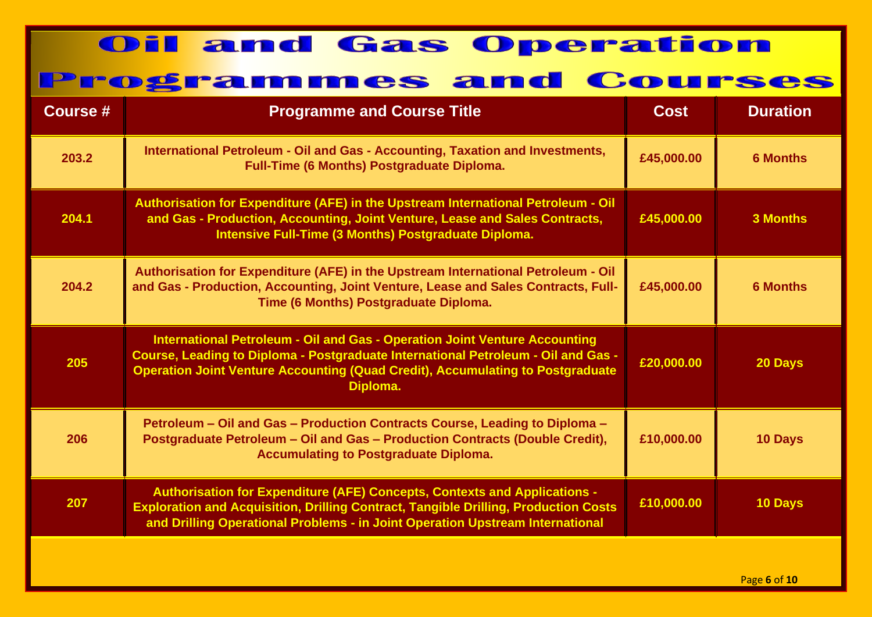| <b>Course #</b> | <b>Programme and Course Title</b>                                                                                                                                                                                                                                    | <b>Cost</b> | <b>Duration</b> |
|-----------------|----------------------------------------------------------------------------------------------------------------------------------------------------------------------------------------------------------------------------------------------------------------------|-------------|-----------------|
| 203.2           | International Petroleum - Oil and Gas - Accounting, Taxation and Investments,<br><b>Full-Time (6 Months) Postgraduate Diploma.</b>                                                                                                                                   | £45,000.00  | <b>6 Months</b> |
| 204.1           | Authorisation for Expenditure (AFE) in the Upstream International Petroleum - Oil<br>and Gas - Production, Accounting, Joint Venture, Lease and Sales Contracts,<br>Intensive Full-Time (3 Months) Postgraduate Diploma.                                             | £45,000.00  | 3 Months        |
| 204.2           | Authorisation for Expenditure (AFE) in the Upstream International Petroleum - Oil<br>and Gas - Production, Accounting, Joint Venture, Lease and Sales Contracts, Full-<br>Time (6 Months) Postgraduate Diploma.                                                      | £45,000.00  | <b>6 Months</b> |
| 205             | International Petroleum - Oil and Gas - Operation Joint Venture Accounting<br>Course, Leading to Diploma - Postgraduate International Petroleum - Oil and Gas -<br><b>Operation Joint Venture Accounting (Quad Credit), Accumulating to Postgraduate</b><br>Diploma. | £20,000.00  | 20 Days         |
| 206             | Petroleum - Oil and Gas - Production Contracts Course, Leading to Diploma -<br>Postgraduate Petroleum - Oil and Gas - Production Contracts (Double Credit),<br><b>Accumulating to Postgraduate Diploma.</b>                                                          | £10,000.00  | <b>10 Days</b>  |
| 207             | <b>Authorisation for Expenditure (AFE) Concepts, Contexts and Applications -</b><br><b>Exploration and Acquisition, Drilling Contract, Tangible Drilling, Production Costs</b><br>and Drilling Operational Problems - in Joint Operation Upstream International      | £10,000.00  | 10 Days         |
|                 |                                                                                                                                                                                                                                                                      |             |                 |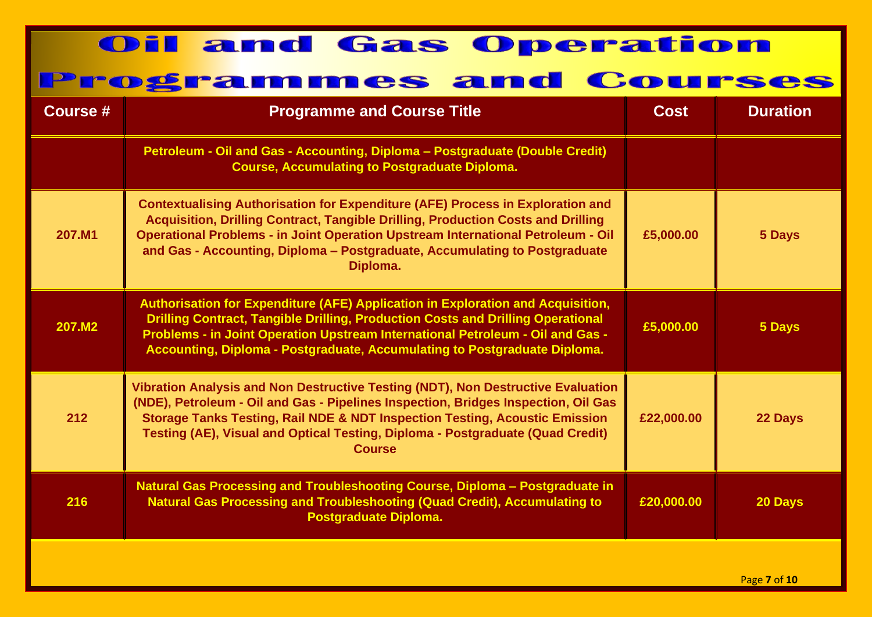| <b>Course #</b> | <b>Programme and Course Title</b>                                                                                                                                                                                                                                                                                                                              | <b>Cost</b> | <b>Duration</b>                                            |
|-----------------|----------------------------------------------------------------------------------------------------------------------------------------------------------------------------------------------------------------------------------------------------------------------------------------------------------------------------------------------------------------|-------------|------------------------------------------------------------|
|                 | Petroleum - Oil and Gas - Accounting, Diploma - Postgraduate (Double Credit)<br><b>Course, Accumulating to Postgraduate Diploma.</b>                                                                                                                                                                                                                           |             |                                                            |
| 207.M1          | <b>Contextualising Authorisation for Expenditure (AFE) Process in Exploration and</b><br>Acquisition, Drilling Contract, Tangible Drilling, Production Costs and Drilling<br><b>Operational Problems - in Joint Operation Upstream International Petroleum - Oil</b><br>and Gas - Accounting, Diploma - Postgraduate, Accumulating to Postgraduate<br>Diploma. | £5,000.00   | 5 Days                                                     |
| 207.M2          | Authorisation for Expenditure (AFE) Application in Exploration and Acquisition,<br><b>Drilling Contract, Tangible Drilling, Production Costs and Drilling Operational</b><br>Problems - in Joint Operation Upstream International Petroleum - Oil and Gas -<br>Accounting, Diploma - Postgraduate, Accumulating to Postgraduate Diploma.                       | £5,000.00   | 5 Days                                                     |
| 212             | Vibration Analysis and Non Destructive Testing (NDT), Non Destructive Evaluation<br>(NDE), Petroleum - Oil and Gas - Pipelines Inspection, Bridges Inspection, Oil Gas<br>Storage Tanks Testing, Rail NDE & NDT Inspection Testing, Acoustic Emission<br>Testing (AE), Visual and Optical Testing, Diploma - Postgraduate (Quad Credit)<br><b>Course</b>       | £22,000.00  | 22 Days                                                    |
| 216             | Natural Gas Processing and Troubleshooting Course, Diploma - Postgraduate in<br><b>Natural Gas Processing and Troubleshooting (Quad Credit), Accumulating to</b><br><b>Postgraduate Diploma.</b>                                                                                                                                                               | £20,000.00  | 20 Days                                                    |
|                 |                                                                                                                                                                                                                                                                                                                                                                |             | $D2 \sigma \sigma$ , $\tau$ , $\sigma$ , $\tau$ , $\sigma$ |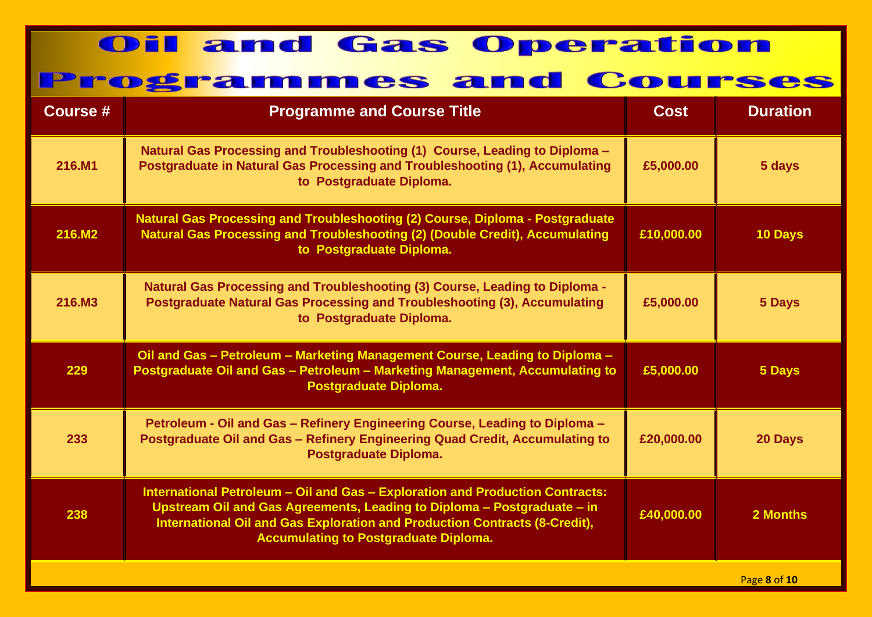| <b>Course #</b> | <b>Programme and Course Title</b>                                                                                                                                                                                                                                                      | <b>Cost</b> | <b>Duration</b>          |
|-----------------|----------------------------------------------------------------------------------------------------------------------------------------------------------------------------------------------------------------------------------------------------------------------------------------|-------------|--------------------------|
| 216.M1          | Natural Gas Processing and Troubleshooting (1) Course, Leading to Diploma -<br>Postgraduate in Natural Gas Processing and Troubleshooting (1), Accumulating<br>to Postgraduate Diploma.                                                                                                | £5,000.00   | 5 days                   |
| 216.M2          | Natural Gas Processing and Troubleshooting (2) Course, Diploma - Postgraduate<br>Natural Gas Processing and Troubleshooting (2) (Double Credit), Accumulating<br>to Postgraduate Diploma.                                                                                              | £10,000.00  | 10 Days                  |
| 216.M3          | <b>Natural Gas Processing and Troubleshooting (3) Course, Leading to Diploma -</b><br>Postgraduate Natural Gas Processing and Troubleshooting (3), Accumulating<br>to Postgraduate Diploma.                                                                                            | £5,000.00   | 5 Days                   |
| 229             | Oil and Gas - Petroleum - Marketing Management Course, Leading to Diploma -<br>Postgraduate Oil and Gas - Petroleum - Marketing Management, Accumulating to<br>Postgraduate Diploma.                                                                                                   | £5,000.00   | 5 Days                   |
| 233             | Petroleum - Oil and Gas - Refinery Engineering Course, Leading to Diploma -<br>Postgraduate Oil and Gas - Refinery Engineering Quad Credit, Accumulating to<br>Postgraduate Diploma.                                                                                                   | £20,000.00  | 20 Days                  |
| 238             | International Petroleum - Oil and Gas - Exploration and Production Contracts:<br>Upstream Oil and Gas Agreements, Leading to Diploma - Postgraduate - in<br>International Oil and Gas Exploration and Production Contracts (8-Credit),<br><b>Accumulating to Postgraduate Diploma.</b> | £40,000.00  | 2 Months                 |
|                 |                                                                                                                                                                                                                                                                                        |             | $D2$ $D2$ $D2$ $D1$ $D2$ |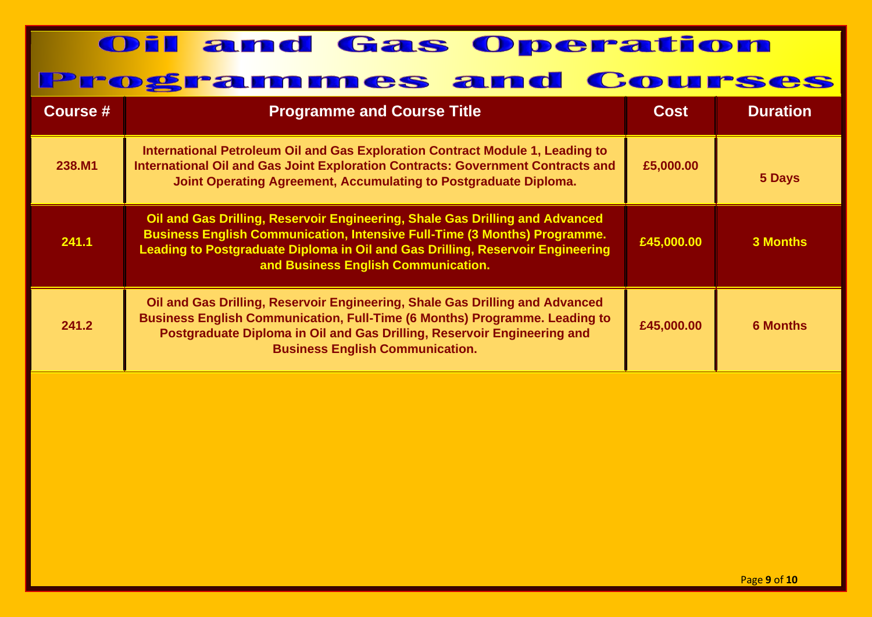| Course # | <b>Programme and Course Title</b>                                                                                                                                                                                                                                                         | Cost       | <b>Duration</b> |
|----------|-------------------------------------------------------------------------------------------------------------------------------------------------------------------------------------------------------------------------------------------------------------------------------------------|------------|-----------------|
| 238.M1   | International Petroleum Oil and Gas Exploration Contract Module 1, Leading to<br>International Oil and Gas Joint Exploration Contracts: Government Contracts and<br>Joint Operating Agreement, Accumulating to Postgraduate Diploma.                                                      | £5,000.00  | 5 Days          |
| 241.1    | Oil and Gas Drilling, Reservoir Engineering, Shale Gas Drilling and Advanced<br><b>Business English Communication, Intensive Full-Time (3 Months) Programme.</b><br>Leading to Postgraduate Diploma in Oil and Gas Drilling, Reservoir Engineering<br>and Business English Communication. | £45,000.00 | 3 Months        |
| 241.2    | Oil and Gas Drilling, Reservoir Engineering, Shale Gas Drilling and Advanced<br><b>Business English Communication, Full-Time (6 Months) Programme. Leading to</b><br>Postgraduate Diploma in Oil and Gas Drilling, Reservoir Engineering and<br><b>Business English Communication.</b>    | £45,000.00 | <b>6 Months</b> |
|          |                                                                                                                                                                                                                                                                                           |            |                 |